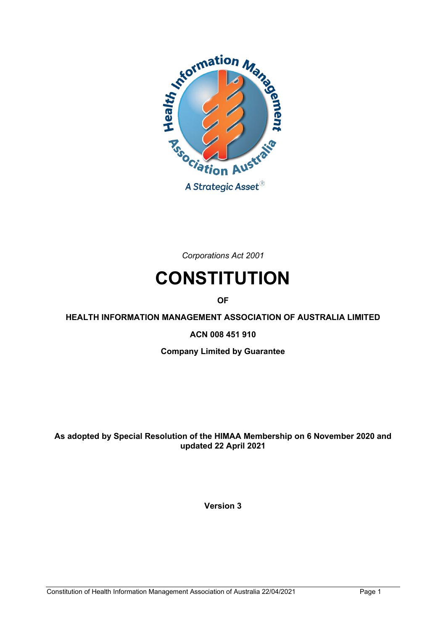

*Corporations Act 2001*

# **CONSTITUTION**

**OF**

**HEALTH INFORMATION MANAGEMENT ASSOCIATION OF AUSTRALIA LIMITED**

**ACN 008 451 910**

**Company Limited by Guarantee**

**As adopted by Special Resolution of the HIMAA Membership on 6 November 2020 and updated 22 April 2021**

**Version 3**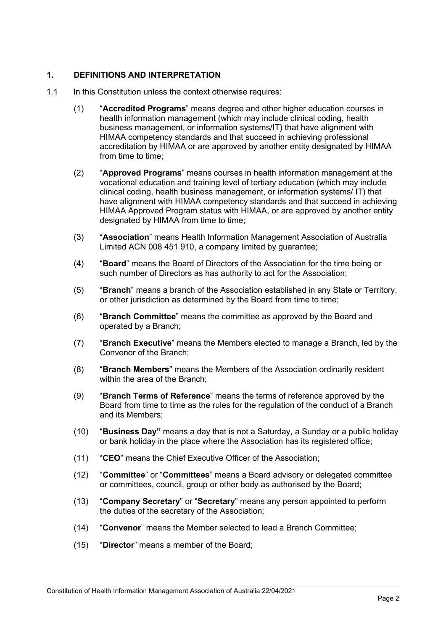## **1. DEFINITIONS AND INTERPRETATION**

- 1.1 In this Constitution unless the context otherwise requires:
	- (1) "**Accredited Programs**" means degree and other higher education courses in health information management (which may include clinical coding, health business management, or information systems/IT) that have alignment with HIMAA competency standards and that succeed in achieving professional accreditation by HIMAA or are approved by another entity designated by HIMAA from time to time:
	- (2) "**Approved Programs**" means courses in health information management at the vocational education and training level of tertiary education (which may include clinical coding, health business management, or information systems/ IT) that have alignment with HIMAA competency standards and that succeed in achieving HIMAA Approved Program status with HIMAA, or are approved by another entity designated by HIMAA from time to time:
	- (3) "**Association**" means Health Information Management Association of Australia Limited ACN 008 451 910, a company limited by guarantee;
	- (4) "**Board**" means the Board of Directors of the Association for the time being or such number of Directors as has authority to act for the Association;
	- (5) "**Branch**" means a branch of the Association established in any State or Territory, or other jurisdiction as determined by the Board from time to time;
	- (6) "**Branch Committee**" means the committee as approved by the Board and operated by a Branch;
	- (7) "**Branch Executive**" means the Members elected to manage a Branch, led by the Convenor of the Branch;
	- (8) "**Branch Members**" means the Members of the Association ordinarily resident within the area of the Branch;
	- (9) "**Branch Terms of Reference**" means the terms of reference approved by the Board from time to time as the rules for the regulation of the conduct of a Branch and its Members;
	- (10) "**Business Day"** means a day that is not a Saturday, a Sunday or a public holiday or bank holiday in the place where the Association has its registered office;
	- (11) "**CEO**" means the Chief Executive Officer of the Association;
	- (12) "**Committee**" or "**Committees**" means a Board advisory or delegated committee or committees, council, group or other body as authorised by the Board;
	- (13) "**Company Secretary**" or "**Secretary**" means any person appointed to perform the duties of the secretary of the Association;
	- (14) "**Convenor**" means the Member selected to lead a Branch Committee;
	- (15) "**Director**" means a member of the Board;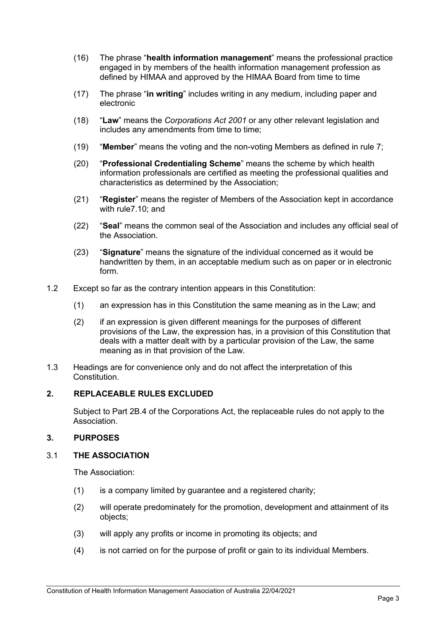- (16) The phrase "**health information management**" means the professional practice engaged in by members of the health information management profession as defined by HIMAA and approved by the HIMAA Board from time to time
- (17) The phrase "**in writing**" includes writing in any medium, including paper and electronic
- (18) "**Law**" means the *Corporations Act 2001* or any other relevant legislation and includes any amendments from time to time:
- (19) "**Member**" means the voting and the non-voting Members as defined in rule [7;](#page-3-0)
- (20) "**Professional Credentialing Scheme**" means the scheme by which health information professionals are certified as meeting the professional qualities and characteristics as determined by the Association;
- (21) "**Register**" means the register of Members of the Association kept in accordance with rul[e7.10;](#page-6-0) and
- (22) "**Seal**" means the common seal of the Association and includes any official seal of the Association.
- (23) "**Signature**" means the signature of the individual concerned as it would be handwritten by them, in an acceptable medium such as on paper or in electronic form.
- 1.2 Except so far as the contrary intention appears in this Constitution:
	- (1) an expression has in this Constitution the same meaning as in the Law; and
	- (2) if an expression is given different meanings for the purposes of different provisions of the Law, the expression has, in a provision of this Constitution that deals with a matter dealt with by a particular provision of the Law, the same meaning as in that provision of the Law.
- 1.3 Headings are for convenience only and do not affect the interpretation of this Constitution.

#### **2. REPLACEABLE RULES EXCLUDED**

Subject to Part 2B.4 of the Corporations Act, the replaceable rules do not apply to the Association.

## **3. PURPOSES**

#### 3.1 **THE ASSOCIATION**

The Association:

- (1) is a company limited by guarantee and a registered charity;
- (2) will operate predominately for the promotion, development and attainment of its objects;
- (3) will apply any profits or income in promoting its objects; and
- (4) is not carried on for the purpose of profit or gain to its individual Members.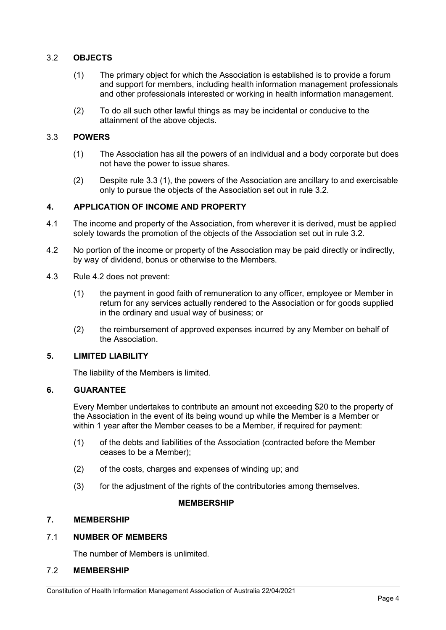## <span id="page-3-3"></span>3.2 **OBJECTS**

- (1) The primary object for which the Association is established is to provide a forum and support for members, including health information management professionals and other professionals interested or working in health information management.
- (2) To do all such other lawful things as may be incidental or conducive to the attainment of the above objects.

## <span id="page-3-2"></span><span id="page-3-1"></span>3.3 **POWERS**

- (1) The Association has all the powers of an individual and a body corporate but does not have the power to issue shares.
- (2) Despite rule [3.3](#page-3-1) [\(1\),](#page-3-2) the powers of the Association are ancillary to and exercisable only to pursue the objects of the Association set out in rule [3.2.](#page-3-3)

## <span id="page-3-6"></span>**4. APPLICATION OF INCOME AND PROPERTY**

- 4.1 The income and property of the Association, from wherever it is derived, must be applied solely towards the promotion of the objects of the Association set out in rule [3.2.](#page-3-3)
- <span id="page-3-4"></span>4.2 No portion of the income or property of the Association may be paid directly or indirectly, by way of dividend, bonus or otherwise to the Members.
- 4.3 Rule [4.2](#page-3-4) does not prevent:
	- (1) the payment in good faith of remuneration to any officer, employee or Member in return for any services actually rendered to the Association or for goods supplied in the ordinary and usual way of business; or
	- (2) the reimbursement of approved expenses incurred by any Member on behalf of the Association.

#### **5. LIMITED LIABILITY**

The liability of the Members is limited.

## <span id="page-3-5"></span>**6. GUARANTEE**

Every Member undertakes to contribute an amount not exceeding \$20 to the property of the Association in the event of its being wound up while the Member is a Member or within 1 year after the Member ceases to be a Member, if required for payment:

- (1) of the debts and liabilities of the Association (contracted before the Member ceases to be a Member);
- (2) of the costs, charges and expenses of winding up; and
- (3) for the adjustment of the rights of the contributories among themselves.

#### **MEMBERSHIP**

#### <span id="page-3-0"></span>**7. MEMBERSHIP**

#### 7.1 **NUMBER OF MEMBERS**

The number of Members is unlimited.

## 7.2 **MEMBERSHIP**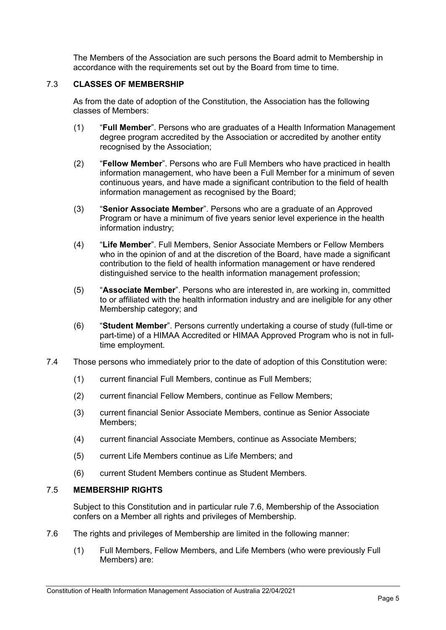The Members of the Association are such persons the Board admit to Membership in accordance with the requirements set out by the Board from time to time.

## 7.3 **CLASSES OF MEMBERSHIP**

As from the date of adoption of the Constitution, the Association has the following classes of Members:

- (1) "**Full Member**". Persons who are graduates of a Health Information Management degree program accredited by the Association or accredited by another entity recognised by the Association;
- (2) "**Fellow Member**". Persons who are Full Members who have practiced in health information management, who have been a Full Member for a minimum of seven continuous years, and have made a significant contribution to the field of health information management as recognised by the Board;
- (3) "**Senior Associate Member**". Persons who are a graduate of an Approved Program or have a minimum of five years senior level experience in the health information industry;
- (4) "**Life Member**". Full Members, Senior Associate Members or Fellow Members who in the opinion of and at the discretion of the Board, have made a significant contribution to the field of health information management or have rendered distinguished service to the health information management profession;
- (5) "**Associate Member**". Persons who are interested in, are working in, committed to or affiliated with the health information industry and are ineligible for any other Membership category; and
- (6) "**Student Member**". Persons currently undertaking a course of study (full-time or part-time) of a HIMAA Accredited or HIMAA Approved Program who is not in fulltime employment.
- 7.4 Those persons who immediately prior to the date of adoption of this Constitution were:
	- (1) current financial Full Members, continue as Full Members;
	- (2) current financial Fellow Members, continue as Fellow Members;
	- (3) current financial Senior Associate Members, continue as Senior Associate Members;
	- (4) current financial Associate Members, continue as Associate Members;
	- (5) current Life Members continue as Life Members; and
	- (6) current Student Members continue as Student Members.

## 7.5 **MEMBERSHIP RIGHTS**

Subject to this Constitution and in particular rule [7.6,](#page-4-0) Membership of the Association confers on a Member all rights and privileges of Membership.

- <span id="page-4-0"></span>7.6 The rights and privileges of Membership are limited in the following manner:
	- (1) Full Members, Fellow Members, and Life Members (who were previously Full Members) are: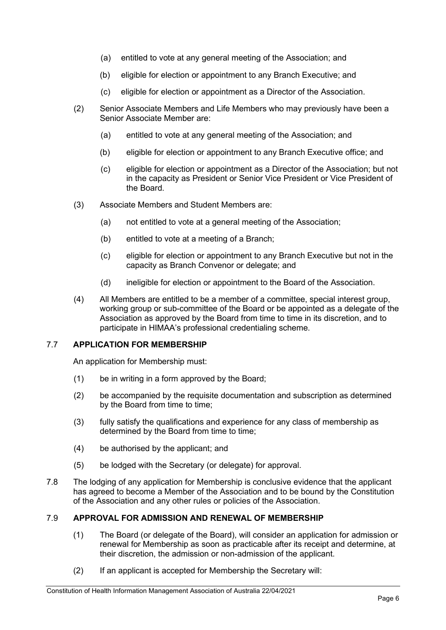- (a) entitled to vote at any general meeting of the Association; and
- (b) eligible for election or appointment to any Branch Executive; and
- (c) eligible for election or appointment as a Director of the Association.
- (2) Senior Associate Members and Life Members who may previously have been a Senior Associate Member are:
	- (a) entitled to vote at any general meeting of the Association; and
	- (b) eligible for election or appointment to any Branch Executive office; and
	- (c) eligible for election or appointment as a Director of the Association; but not in the capacity as President or Senior Vice President or Vice President of the Board.
- (3) Associate Members and Student Members are:
	- (a) not entitled to vote at a general meeting of the Association;
	- (b) entitled to vote at a meeting of a Branch;
	- (c) eligible for election or appointment to any Branch Executive but not in the capacity as Branch Convenor or delegate; and
	- (d) ineligible for election or appointment to the Board of the Association.
- (4) All Members are entitled to be a member of a committee, special interest group, working group or sub-committee of the Board or be appointed as a delegate of the Association as approved by the Board from time to time in its discretion, and to participate in HIMAA's professional credentialing scheme.

#### 7.7 **APPLICATION FOR MEMBERSHIP**

An application for Membership must:

- (1) be in writing in a form approved by the Board;
- (2) be accompanied by the requisite documentation and subscription as determined by the Board from time to time;
- (3) fully satisfy the qualifications and experience for any class of membership as determined by the Board from time to time;
- (4) be authorised by the applicant; and
- (5) be lodged with the Secretary (or delegate) for approval.
- 7.8 The lodging of any application for Membership is conclusive evidence that the applicant has agreed to become a Member of the Association and to be bound by the Constitution of the Association and any other rules or policies of the Association.

## 7.9 **APPROVAL FOR ADMISSION AND RENEWAL OF MEMBERSHIP**

- (1) The Board (or delegate of the Board), will consider an application for admission or renewal for Membership as soon as practicable after its receipt and determine, at their discretion, the admission or non-admission of the applicant.
- (2) If an applicant is accepted for Membership the Secretary will: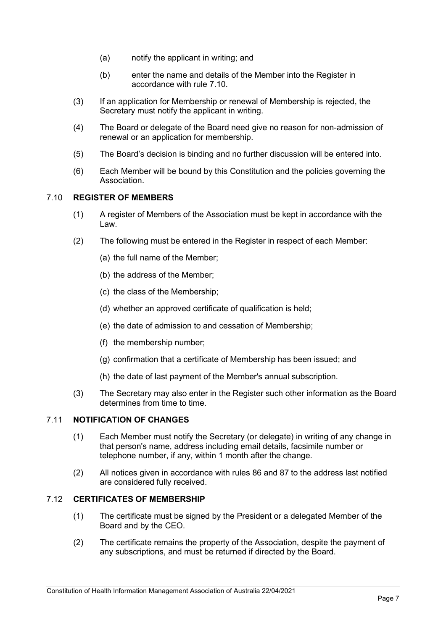- (a) notify the applicant in writing; and
- (b) enter the name and details of the Member into the Register in accordance with rule [7.10.](#page-6-0)
- (3) If an application for Membership or renewal of Membership is rejected, the Secretary must notify the applicant in writing.
- (4) The Board or delegate of the Board need give no reason for non-admission of renewal or an application for membership.
- (5) The Board's decision is binding and no further discussion will be entered into.
- (6) Each Member will be bound by this Constitution and the policies governing the **Association**

## <span id="page-6-0"></span>7.10 **REGISTER OF MEMBERS**

- (1) A register of Members of the Association must be kept in accordance with the Law.
- (2) The following must be entered in the Register in respect of each Member:
	- (a) the full name of the Member;
	- (b) the address of the Member;
	- (c) the class of the Membership;
	- (d) whether an approved certificate of qualification is held;
	- (e) the date of admission to and cessation of Membership;
	- (f) the membership number;
	- (g) confirmation that a certificate of Membership has been issued; and
	- (h) the date of last payment of the Member's annual subscription.
- (3) The Secretary may also enter in the Register such other information as the Board determines from time to time.

## 7.11 **NOTIFICATION OF CHANGES**

- (1) Each Member must notify the Secretary (or delegate) in writing of any change in that person's name, address including email details, facsimile number or telephone number, if any, within 1 month after the change.
- (2) All notices given in accordance with rules [86](#page-26-0) and [87](#page-26-1) to the address last notified are considered fully received.

#### 7.12 **CERTIFICATES OF MEMBERSHIP**

- (1) The certificate must be signed by the President or a delegated Member of the Board and by the CEO.
- (2) The certificate remains the property of the Association, despite the payment of any subscriptions, and must be returned if directed by the Board.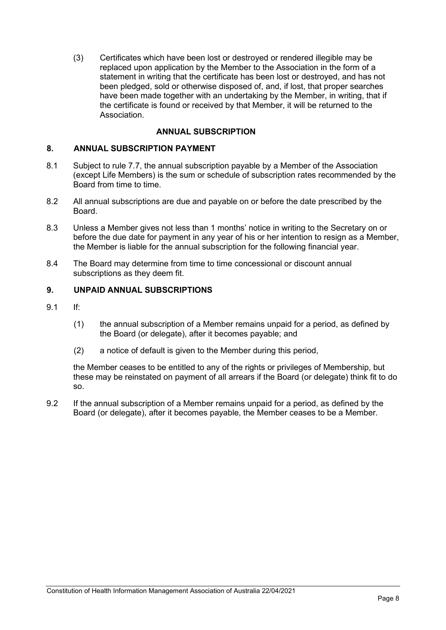(3) Certificates which have been lost or destroyed or rendered illegible may be replaced upon application by the Member to the Association in the form of a statement in writing that the certificate has been lost or destroyed, and has not been pledged, sold or otherwise disposed of, and, if lost, that proper searches have been made together with an undertaking by the Member, in writing, that if the certificate is found or received by that Member, it will be returned to the Association.

## **ANNUAL SUBSCRIPTION**

#### **8. ANNUAL SUBSCRIPTION PAYMENT**

- 8.1 Subject to rule 7.7, the annual subscription payable by a Member of the Association (except Life Members) is the sum or schedule of subscription rates recommended by the Board from time to time.
- 8.2 All annual subscriptions are due and payable on or before the date prescribed by the Board.
- 8.3 Unless a Member gives not less than 1 months' notice in writing to the Secretary on or before the due date for payment in any year of his or her intention to resign as a Member, the Member is liable for the annual subscription for the following financial year.
- 8.4 The Board may determine from time to time concessional or discount annual subscriptions as they deem fit.

#### **9. UNPAID ANNUAL SUBSCRIPTIONS**

- 9.1 If:
	- (1) the annual subscription of a Member remains unpaid for a period, as defined by the Board (or delegate), after it becomes payable; and
	- (2) a notice of default is given to the Member during this period,

the Member ceases to be entitled to any of the rights or privileges of Membership, but these may be reinstated on payment of all arrears if the Board (or delegate) think fit to do so.

9.2 If the annual subscription of a Member remains unpaid for a period, as defined by the Board (or delegate), after it becomes payable, the Member ceases to be a Member.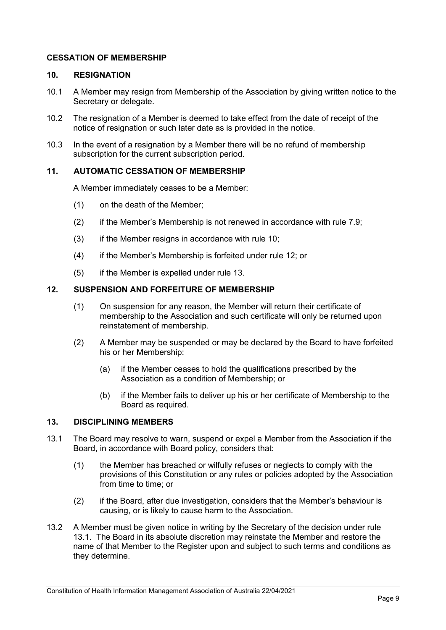## **CESSATION OF MEMBERSHIP**

#### <span id="page-8-0"></span>**10. RESIGNATION**

- 10.1 A Member may resign from Membership of the Association by giving written notice to the Secretary or delegate.
- 10.2 The resignation of a Member is deemed to take effect from the date of receipt of the notice of resignation or such later date as is provided in the notice.
- 10.3 In the event of a resignation by a Member there will be no refund of membership subscription for the current subscription period.

## **11. AUTOMATIC CESSATION OF MEMBERSHIP**

A Member immediately ceases to be a Member:

- (1) on the death of the Member;
- (2) if the Member's Membership is not renewed in accordance with rule 7.9;
- $(3)$  if the Member resigns in accordance with rule [10;](#page-8-0)
- (4) if the Member's Membership is forfeited under rule [12;](#page-8-1) or
- (5) if the Member is expelled under rule [13.](#page-8-2)

#### <span id="page-8-1"></span>**12. SUSPENSION AND FORFEITURE OF MEMBERSHIP**

- (1) On suspension for any reason, the Member will return their certificate of membership to the Association and such certificate will only be returned upon reinstatement of membership.
- (2) A Member may be suspended or may be declared by the Board to have forfeited his or her Membership:
	- (a) if the Member ceases to hold the qualifications prescribed by the Association as a condition of Membership; or
	- (b) if the Member fails to deliver up his or her certificate of Membership to the Board as required.

## <span id="page-8-2"></span>**13. DISCIPLINING MEMBERS**

- <span id="page-8-3"></span>13.1 The Board may resolve to warn, suspend or expel a Member from the Association if the Board, in accordance with Board policy, considers that:
	- (1) the Member has breached or wilfully refuses or neglects to comply with the provisions of this Constitution or any rules or policies adopted by the Association from time to time; or
	- (2) if the Board, after due investigation, considers that the Member's behaviour is causing, or is likely to cause harm to the Association.
- 13.2 A Member must be given notice in writing by the Secretary of the decision under rule [13.1.](#page-8-3) The Board in its absolute discretion may reinstate the Member and restore the name of that Member to the Register upon and subject to such terms and conditions as they determine.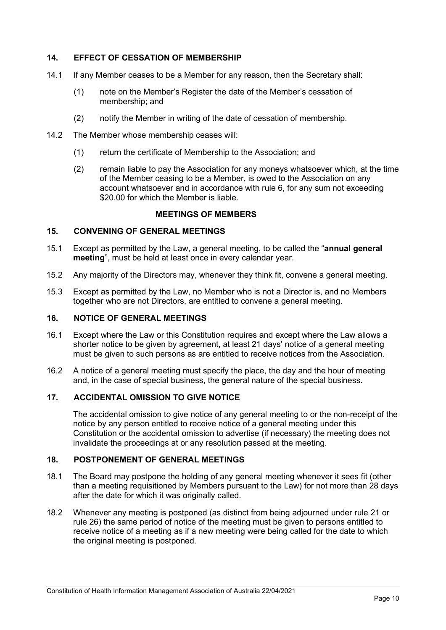## **14. EFFECT OF CESSATION OF MEMBERSHIP**

- 14.1 If any Member ceases to be a Member for any reason, then the Secretary shall:
	- (1) note on the Member's Register the date of the Member's cessation of membership; and
	- (2) notify the Member in writing of the date of cessation of membership.
- 14.2 The Member whose membership ceases will:
	- (1) return the certificate of Membership to the Association; and
	- (2) remain liable to pay the Association for any moneys whatsoever which, at the time of the Member ceasing to be a Member, is owed to the Association on any account whatsoever and in accordance with rule [6,](#page-3-5) for any sum not exceeding \$20.00 for which the Member is liable.

#### **MEETINGS OF MEMBERS**

#### **15. CONVENING OF GENERAL MEETINGS**

- 15.1 Except as permitted by the Law, a general meeting, to be called the "**annual general meeting**", must be held at least once in every calendar year.
- 15.2 Any majority of the Directors may, whenever they think fit, convene a general meeting.
- 15.3 Except as permitted by the Law, no Member who is not a Director is, and no Members together who are not Directors, are entitled to convene a general meeting.

#### <span id="page-9-0"></span>**16. NOTICE OF GENERAL MEETINGS**

- 16.1 Except where the Law or this Constitution requires and except where the Law allows a shorter notice to be given by agreement, at least 21 days' notice of a general meeting must be given to such persons as are entitled to receive notices from the Association.
- 16.2 A notice of a general meeting must specify the place, the day and the hour of meeting and, in the case of special business, the general nature of the special business.

#### **17. ACCIDENTAL OMISSION TO GIVE NOTICE**

The accidental omission to give notice of any general meeting to or the non-receipt of the notice by any person entitled to receive notice of a general meeting under this Constitution or the accidental omission to advertise (if necessary) the meeting does not invalidate the proceedings at or any resolution passed at the meeting.

#### **18. POSTPONEMENT OF GENERAL MEETINGS**

- 18.1 The Board may postpone the holding of any general meeting whenever it sees fit (other than a meeting requisitioned by Members pursuant to the Law) for not more than 28 days after the date for which it was originally called.
- 18.2 Whenever any meeting is postponed (as distinct from being adjourned under rule [21](#page-10-0) or rule [26\)](#page-11-0) the same period of notice of the meeting must be given to persons entitled to receive notice of a meeting as if a new meeting were being called for the date to which the original meeting is postponed.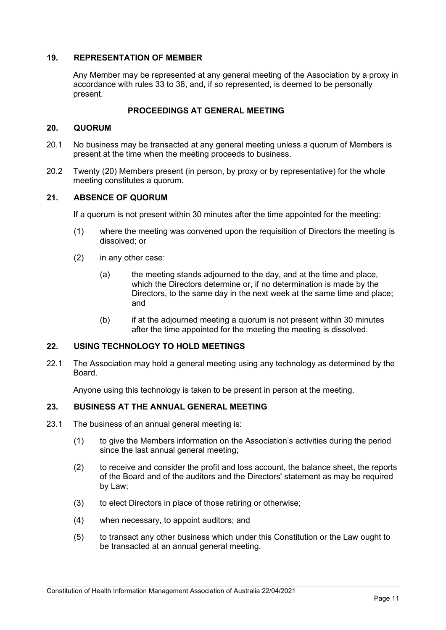## **19. REPRESENTATION OF MEMBER**

Any Member may be represented at any general meeting of the Association by a proxy in accordance with rules [33](#page-12-0) to [38,](#page-14-0) and, if so represented, is deemed to be personally present.

## **PROCEEDINGS AT GENERAL MEETING**

#### **20. QUORUM**

- 20.1 No business may be transacted at any general meeting unless a quorum of Members is present at the time when the meeting proceeds to business.
- 20.2 Twenty (20) Members present (in person, by proxy or by representative) for the whole meeting constitutes a quorum.

#### <span id="page-10-0"></span>**21. ABSENCE OF QUORUM**

If a quorum is not present within 30 minutes after the time appointed for the meeting:

- (1) where the meeting was convened upon the requisition of Directors the meeting is dissolved; or
- (2) in any other case:
	- (a) the meeting stands adjourned to the day, and at the time and place, which the Directors determine or, if no determination is made by the Directors, to the same day in the next week at the same time and place; and
	- (b) if at the adjourned meeting a quorum is not present within 30 minutes after the time appointed for the meeting the meeting is dissolved.

#### **22. USING TECHNOLOGY TO HOLD MEETINGS**

22.1 The Association may hold a general meeting using any technology as determined by the Board.

Anyone using this technology is taken to be present in person at the meeting.

#### **23. BUSINESS AT THE ANNUAL GENERAL MEETING**

- 23.1 The business of an annual general meeting is:
	- (1) to give the Members information on the Association's activities during the period since the last annual general meeting;
	- (2) to receive and consider the profit and loss account, the balance sheet, the reports of the Board and of the auditors and the Directors' statement as may be required by Law;
	- (3) to elect Directors in place of those retiring or otherwise;
	- (4) when necessary, to appoint auditors; and
	- (5) to transact any other business which under this Constitution or the Law ought to be transacted at an annual general meeting.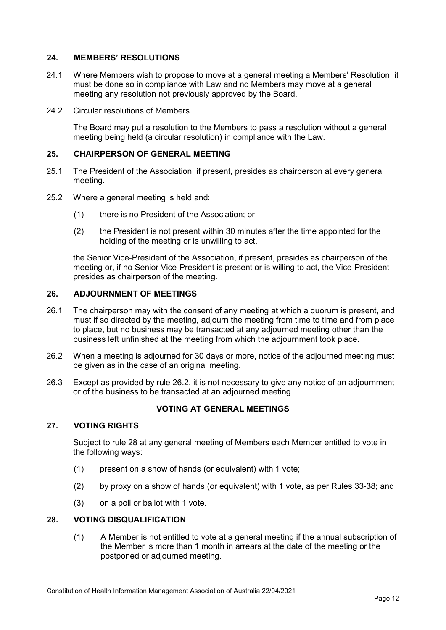## **24. MEMBERS' RESOLUTIONS**

- 24.1 Where Members wish to propose to move at a general meeting a Members' Resolution, it must be done so in compliance with Law and no Members may move at a general meeting any resolution not previously approved by the Board.
- 24.2 Circular resolutions of Members

The Board may put a resolution to the Members to pass a resolution without a general meeting being held (a circular resolution) in compliance with the Law.

## **25. CHAIRPERSON OF GENERAL MEETING**

- 25.1 The President of the Association, if present, presides as chairperson at every general meeting.
- 25.2 Where a general meeting is held and:
	- (1) there is no President of the Association; or
	- (2) the President is not present within 30 minutes after the time appointed for the holding of the meeting or is unwilling to act,

the Senior Vice-President of the Association, if present, presides as chairperson of the meeting or, if no Senior Vice-President is present or is willing to act, the Vice-President presides as chairperson of the meeting.

## <span id="page-11-0"></span>**26. ADJOURNMENT OF MEETINGS**

- 26.1 The chairperson may with the consent of any meeting at which a quorum is present, and must if so directed by the meeting, adjourn the meeting from time to time and from place to place, but no business may be transacted at any adjourned meeting other than the business left unfinished at the meeting from which the adjournment took place.
- <span id="page-11-1"></span>26.2 When a meeting is adjourned for 30 days or more, notice of the adjourned meeting must be given as in the case of an original meeting.
- 26.3 Except as provided by rule [26.2,](#page-11-1) it is not necessary to give any notice of an adjournment or of the business to be transacted at an adjourned meeting.

## **VOTING AT GENERAL MEETINGS**

#### **27. VOTING RIGHTS**

Subject to rule [28](#page-11-2) at any general meeting of Members each Member entitled to vote in the following ways:

- (1) present on a show of hands (or equivalent) with 1 vote;
- (2) by proxy on a show of hands (or equivalent) with 1 vote, as per Rules 33-38; and
- (3) on a poll or ballot with 1 vote.

## <span id="page-11-2"></span>**28. VOTING DISQUALIFICATION**

(1) A Member is not entitled to vote at a general meeting if the annual subscription of the Member is more than 1 month in arrears at the date of the meeting or the postponed or adjourned meeting.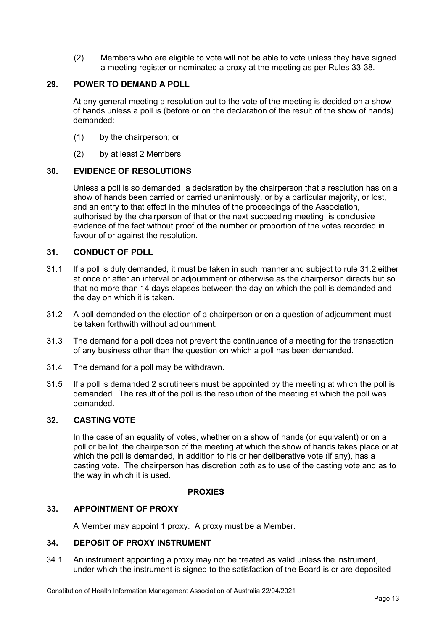(2) Members who are eligible to vote will not be able to vote unless they have signed a meeting register or nominated a proxy at the meeting as per Rules 33-38.

## **29. POWER TO DEMAND A POLL**

At any general meeting a resolution put to the vote of the meeting is decided on a show of hands unless a poll is (before or on the declaration of the result of the show of hands) demanded:

- (1) by the chairperson; or
- (2) by at least 2 Members.

## **30. EVIDENCE OF RESOLUTIONS**

Unless a poll is so demanded, a declaration by the chairperson that a resolution has on a show of hands been carried or carried unanimously, or by a particular majority, or lost, and an entry to that effect in the minutes of the proceedings of the Association, authorised by the chairperson of that or the next succeeding meeting, is conclusive evidence of the fact without proof of the number or proportion of the votes recorded in favour of or against the resolution.

#### **31. CONDUCT OF POLL**

- 31.1 If a poll is duly demanded, it must be taken in such manner and subject to rule [31.2](#page-12-1) either at once or after an interval or adjournment or otherwise as the chairperson directs but so that no more than 14 days elapses between the day on which the poll is demanded and the day on which it is taken.
- <span id="page-12-1"></span>31.2 A poll demanded on the election of a chairperson or on a question of adjournment must be taken forthwith without adjournment.
- 31.3 The demand for a poll does not prevent the continuance of a meeting for the transaction of any business other than the question on which a poll has been demanded.
- 31.4 The demand for a poll may be withdrawn.
- 31.5 If a poll is demanded 2 scrutineers must be appointed by the meeting at which the poll is demanded. The result of the poll is the resolution of the meeting at which the poll was demanded.

## **32. CASTING VOTE**

In the case of an equality of votes, whether on a show of hands (or equivalent) or on a poll or ballot, the chairperson of the meeting at which the show of hands takes place or at which the poll is demanded, in addition to his or her deliberative vote (if any), has a casting vote. The chairperson has discretion both as to use of the casting vote and as to the way in which it is used.

#### **PROXIES**

#### <span id="page-12-0"></span>**33. APPOINTMENT OF PROXY**

A Member may appoint 1 proxy. A proxy must be a Member.

#### **34. DEPOSIT OF PROXY INSTRUMENT**

<span id="page-12-2"></span>34.1 An instrument appointing a proxy may not be treated as valid unless the instrument, under which the instrument is signed to the satisfaction of the Board is or are deposited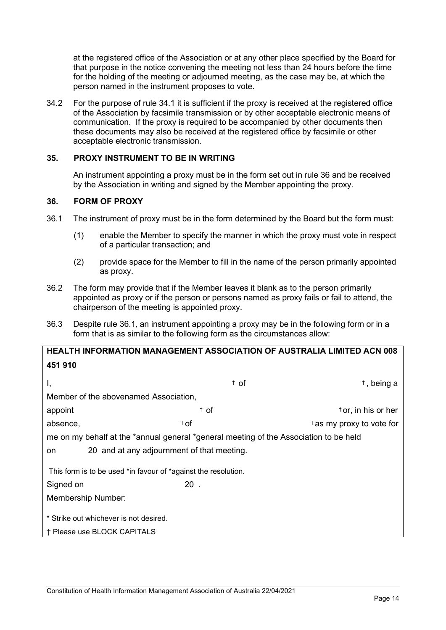at the registered office of the Association or at any other place specified by the Board for that purpose in the notice convening the meeting not less than 24 hours before the time for the holding of the meeting or adjourned meeting, as the case may be, at which the person named in the instrument proposes to vote.

34.2 For the purpose of rule [34.1](#page-12-2) it is sufficient if the proxy is received at the registered office of the Association by facsimile transmission or by other acceptable electronic means of communication. If the proxy is required to be accompanied by other documents then these documents may also be received at the registered office by facsimile or other acceptable electronic transmission.

#### **35. PROXY INSTRUMENT TO BE IN WRITING**

An instrument appointing a proxy must be in the form set out in rule [36](#page-13-0) and be received by the Association in writing and signed by the Member appointing the proxy.

## <span id="page-13-0"></span>**36. FORM OF PROXY**

- <span id="page-13-1"></span>36.1 The instrument of proxy must be in the form determined by the Board but the form must:
	- (1) enable the Member to specify the manner in which the proxy must vote in respect of a particular transaction; and
	- (2) provide space for the Member to fill in the name of the person primarily appointed as proxy.
- 36.2 The form may provide that if the Member leaves it blank as to the person primarily appointed as proxy or if the person or persons named as proxy fails or fail to attend, the chairperson of the meeting is appointed proxy.
- 36.3 Despite rule [36.1](#page-13-1), an instrument appointing a proxy may be in the following form or in a form that is as similar to the following form as the circumstances allow:

| <b>HEALTH INFORMATION MANAGEMENT ASSOCIATION OF AUSTRALIA LIMITED ACN 008</b> |  |
|-------------------------------------------------------------------------------|--|
| 451 910                                                                       |  |

| Ι,                                                                                    | $\dagger$ of                               | $†$ , being a                     |  |  |  |
|---------------------------------------------------------------------------------------|--------------------------------------------|-----------------------------------|--|--|--|
| Member of the abovenamed Association.                                                 |                                            |                                   |  |  |  |
| appoint                                                                               | <sup>†</sup> of                            | <sup>t</sup> or, in his or her    |  |  |  |
| absence,                                                                              | $\dagger$ of                               | $\dagger$ as my proxy to vote for |  |  |  |
| me on my behalf at the *annual general *general meeting of the Association to be held |                                            |                                   |  |  |  |
| on                                                                                    | 20 and at any adjournment of that meeting. |                                   |  |  |  |
| This form is to be used *in favour of *against the resolution.                        |                                            |                                   |  |  |  |
| Signed on                                                                             | $20$ .                                     |                                   |  |  |  |
| <b>Membership Number:</b>                                                             |                                            |                                   |  |  |  |
| * Strike out whichever is not desired.                                                |                                            |                                   |  |  |  |
| † Please use BLOCK CAPITALS                                                           |                                            |                                   |  |  |  |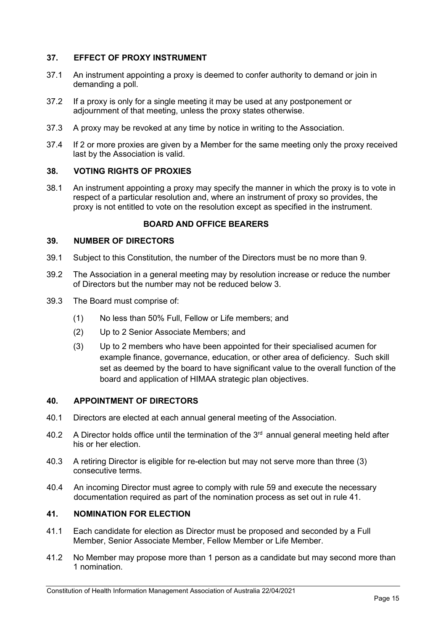## **37. EFFECT OF PROXY INSTRUMENT**

- 37.1 An instrument appointing a proxy is deemed to confer authority to demand or join in demanding a poll.
- 37.2 If a proxy is only for a single meeting it may be used at any postponement or adjournment of that meeting, unless the proxy states otherwise.
- 37.3 A proxy may be revoked at any time by notice in writing to the Association.
- 37.4 If 2 or more proxies are given by a Member for the same meeting only the proxy received last by the Association is valid.

#### <span id="page-14-0"></span>**38. VOTING RIGHTS OF PROXIES**

38.1 An instrument appointing a proxy may specify the manner in which the proxy is to vote in respect of a particular resolution and, where an instrument of proxy so provides, the proxy is not entitled to vote on the resolution except as specified in the instrument.

#### **BOARD AND OFFICE BEARERS**

#### **39. NUMBER OF DIRECTORS**

- 39.1 Subject to this Constitution, the number of the Directors must be no more than 9.
- 39.2 The Association in a general meeting may by resolution increase or reduce the number of Directors but the number may not be reduced below 3.
- 39.3 The Board must comprise of:
	- (1) No less than 50% Full, Fellow or Life members; and
	- (2) Up to 2 Senior Associate Members; and
	- (3) Up to 2 members who have been appointed for their specialised acumen for example finance, governance, education, or other area of deficiency. Such skill set as deemed by the board to have significant value to the overall function of the board and application of HIMAA strategic plan objectives.

#### **40. APPOINTMENT OF DIRECTORS**

- 40.1 Directors are elected at each annual general meeting of the Association.
- 40.2 A Director holds office until the termination of the  $3<sup>rd</sup>$  annual general meeting held after his or her election.
- 40.3 A retiring Director is eligible for re-election but may not serve more than three (3) consecutive terms.
- 40.4 An incoming Director must agree to comply with rule 59 and execute the necessary documentation required as part of the nomination process as set out in rule 41.

#### **41. NOMINATION FOR ELECTION**

- 41.1 Each candidate for election as Director must be proposed and seconded by a Full Member, Senior Associate Member, Fellow Member or Life Member.
- 41.2 No Member may propose more than 1 person as a candidate but may second more than 1 nomination.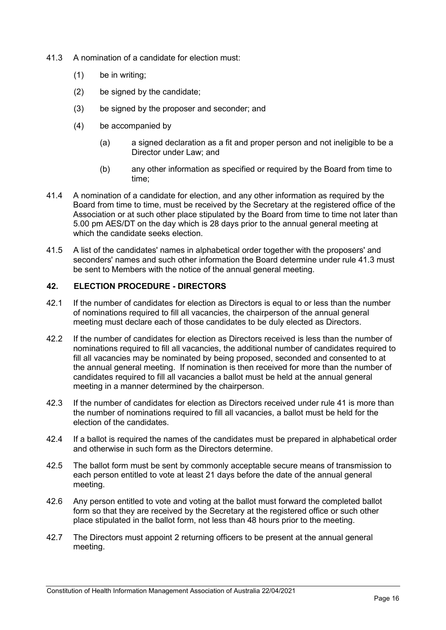- 41.3 A nomination of a candidate for election must:
	- (1) be in writing;
	- (2) be signed by the candidate;
	- (3) be signed by the proposer and seconder; and
	- (4) be accompanied by
		- (a) a signed declaration as a fit and proper person and not ineligible to be a Director under Law; and
		- (b) any other information as specified or required by the Board from time to time;
- 41.4 A nomination of a candidate for election, and any other information as required by the Board from time to time, must be received by the Secretary at the registered office of the Association or at such other place stipulated by the Board from time to time not later than 5.00 pm AES/DT on the day which is 28 days prior to the annual general meeting at which the candidate seeks election.
- 41.5 A list of the candidates' names in alphabetical order together with the proposers' and seconders' names and such other information the Board determine under rule 41.3 must be sent to Members with the notice of the annual general meeting.

## **42. ELECTION PROCEDURE - DIRECTORS**

- 42.1 If the number of candidates for election as Directors is equal to or less than the number of nominations required to fill all vacancies, the chairperson of the annual general meeting must declare each of those candidates to be duly elected as Directors.
- 42.2 If the number of candidates for election as Directors received is less than the number of nominations required to fill all vacancies, the additional number of candidates required to fill all vacancies may be nominated by being proposed, seconded and consented to at the annual general meeting. If nomination is then received for more than the number of candidates required to fill all vacancies a ballot must be held at the annual general meeting in a manner determined by the chairperson.
- 42.3 If the number of candidates for election as Directors received under rule 41 is more than the number of nominations required to fill all vacancies, a ballot must be held for the election of the candidates.
- 42.4 If a ballot is required the names of the candidates must be prepared in alphabetical order and otherwise in such form as the Directors determine.
- 42.5 The ballot form must be sent by commonly acceptable secure means of transmission to each person entitled to vote at least 21 days before the date of the annual general meeting.
- 42.6 Any person entitled to vote and voting at the ballot must forward the completed ballot form so that they are received by the Secretary at the registered office or such other place stipulated in the ballot form, not less than 48 hours prior to the meeting.
- 42.7 The Directors must appoint 2 returning officers to be present at the annual general meeting.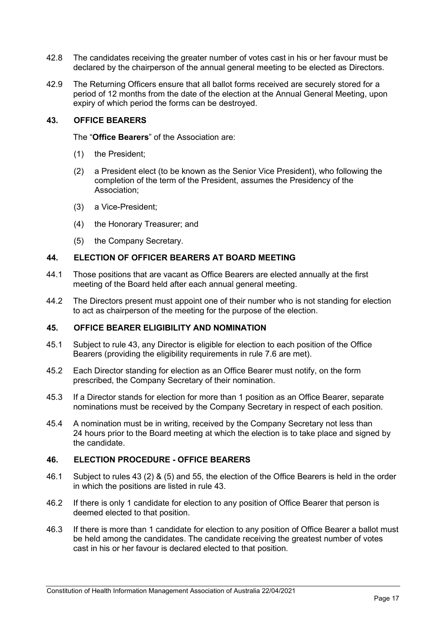- 42.8 The candidates receiving the greater number of votes cast in his or her favour must be declared by the chairperson of the annual general meeting to be elected as Directors.
- 42.9 The Returning Officers ensure that all ballot forms received are securely stored for a period of 12 months from the date of the election at the Annual General Meeting, upon expiry of which period the forms can be destroyed.

## <span id="page-16-0"></span>**43. OFFICE BEARERS**

The "**Office Bearers**" of the Association are:

- (1) the President;
- (2) a President elect (to be known as the Senior Vice President), who following the completion of the term of the President, assumes the Presidency of the Association;
- (3) a Vice-President;
- (4) the Honorary Treasurer; and
- (5) the Company Secretary.

#### <span id="page-16-2"></span>**44. ELECTION OF OFFICER BEARERS AT BOARD MEETING**

- 44.1 Those positions that are vacant as Office Bearers are elected annually at the first meeting of the Board held after each annual general meeting.
- 44.2 The Directors present must appoint one of their number who is not standing for election to act as chairperson of the meeting for the purpose of the election.

#### **45. OFFICE BEARER ELIGIBILITY AND NOMINATION**

- 45.1 Subject to rule 43, any Director is eligible for election to each position of the Office Bearers (providing the eligibility requirements in rule [7.6](#page-4-0) are met).
- 45.2 Each Director standing for election as an Office Bearer must notify, on the form prescribed, the Company Secretary of their nomination.
- 45.3 If a Director stands for election for more than 1 position as an Office Bearer, separate nominations must be received by the Company Secretary in respect of each position.
- 45.4 A nomination must be in writing, received by the Company Secretary not less than 24 hours prior to the Board meeting at which the election is to take place and signed by the candidate.

## <span id="page-16-1"></span>**46. ELECTION PROCEDURE - OFFICE BEARERS**

- 46.1 Subject to rules 43 (2) & (5) and 55, the election of the Office Bearers is held in the order in which the positions are listed in rule [43.](#page-16-0)
- 46.2 If there is only 1 candidate for election to any position of Office Bearer that person is deemed elected to that position.
- 46.3 If there is more than 1 candidate for election to any position of Office Bearer a ballot must be held among the candidates. The candidate receiving the greatest number of votes cast in his or her favour is declared elected to that position.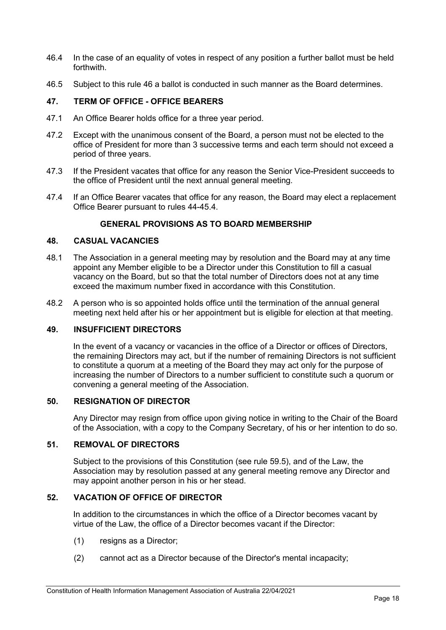- 46.4 In the case of an equality of votes in respect of any position a further ballot must be held forthwith.
- 46.5 Subject to this rule 46 a ballot is conducted in such manner as the Board determines.

## **47. TERM OF OFFICE - OFFICE BEARERS**

- 47.1 An Office Bearer holds office for a three year period.
- 47.2 Except with the unanimous consent of the Board, a person must not be elected to the office of President for more than 3 successive terms and each term should not exceed a period of three years.
- 47.3 If the President vacates that office for any reason the Senior Vice-President succeeds to the office of President until the next annual general meeting.
- 47.4 If an Office Bearer vacates that office for any reason, the Board may elect a replacement Office Bearer pursuant to rules 44[-45.4.](#page-16-1)

## **GENERAL PROVISIONS AS TO BOARD MEMBERSHIP**

#### **48. CASUAL VACANCIES**

- 48.1 The Association in a general meeting may by resolution and the Board may at any time appoint any Member eligible to be a Director under this Constitution to fill a casual vacancy on the Board, but so that the total number of Directors does not at any time exceed the maximum number fixed in accordance with this Constitution.
- 48.2 A person who is so appointed holds office until the termination of the annual general meeting next held after his or her appointment but is eligible for election at that meeting.

#### **49. INSUFFICIENT DIRECTORS**

In the event of a vacancy or vacancies in the office of a Director or offices of Directors, the remaining Directors may act, but if the number of remaining Directors is not sufficient to constitute a quorum at a meeting of the Board they may act only for the purpose of increasing the number of Directors to a number sufficient to constitute such a quorum or convening a general meeting of the Association.

#### **50. RESIGNATION OF DIRECTOR**

Any Director may resign from office upon giving notice in writing to the Chair of the Board of the Association, with a copy to the Company Secretary, of his or her intention to do so.

#### **51. REMOVAL OF DIRECTORS**

Subject to the provisions of this Constitution (see rule 59.5), and of the Law, the Association may by resolution passed at any general meeting remove any Director and may appoint another person in his or her stead.

## **52. VACATION OF OFFICE OF DIRECTOR**

In addition to the circumstances in which the office of a Director becomes vacant by virtue of the Law, the office of a Director becomes vacant if the Director:

- (1) resigns as a Director;
- (2) cannot act as a Director because of the Director's mental incapacity;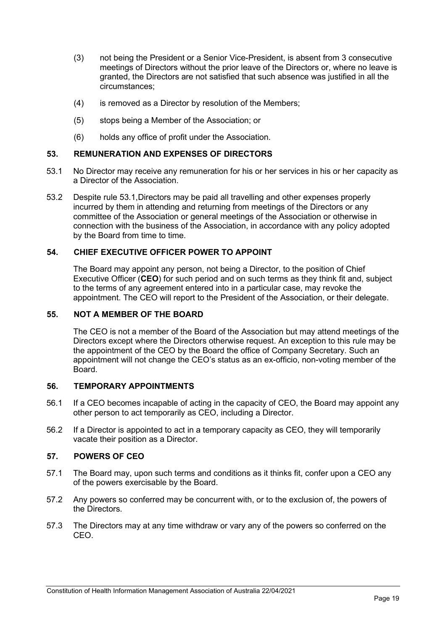- (3) not being the President or a Senior Vice-President, is absent from 3 consecutive meetings of Directors without the prior leave of the Directors or, where no leave is granted, the Directors are not satisfied that such absence was justified in all the circumstances;
- (4) is removed as a Director by resolution of the Members;
- (5) stops being a Member of the Association; or
- (6) holds any office of profit under the Association.

## **53. REMUNERATION AND EXPENSES OF DIRECTORS**

- <span id="page-18-0"></span>53.1 No Director may receive any remuneration for his or her services in his or her capacity as a Director of the Association.
- 53.2 Despite rule [53.1,](#page-18-0)Directors may be paid all travelling and other expenses properly incurred by them in attending and returning from meetings of the Directors or any committee of the Association or general meetings of the Association or otherwise in connection with the business of the Association, in accordance with any policy adopted by the Board from time to time.

## **54. CHIEF EXECUTIVE OFFICER POWER TO APPOINT**

The Board may appoint any person, not being a Director, to the position of Chief Executive Officer (**CEO**) for such period and on such terms as they think fit and, subject to the terms of any agreement entered into in a particular case, may revoke the appointment. The CEO will report to the President of the Association, or their delegate.

## <span id="page-18-1"></span>**55. NOT A MEMBER OF THE BOARD**

The CEO is not a member of the Board of the Association but may attend meetings of the Directors except where the Directors otherwise request. An exception to this rule may be the appointment of the CEO by the Board the office of Company Secretary. Such an appointment will not change the CEO's status as an ex-officio, non-voting member of the Board.

## **56. TEMPORARY APPOINTMENTS**

- 56.1 If a CEO becomes incapable of acting in the capacity of CEO, the Board may appoint any other person to act temporarily as CEO, including a Director.
- 56.2 If a Director is appointed to act in a temporary capacity as CEO, they will temporarily vacate their position as a Director.

#### **57. POWERS OF CEO**

- 57.1 The Board may, upon such terms and conditions as it thinks fit, confer upon a CEO any of the powers exercisable by the Board.
- 57.2 Any powers so conferred may be concurrent with, or to the exclusion of, the powers of the Directors.
- 57.3 The Directors may at any time withdraw or vary any of the powers so conferred on the CEO.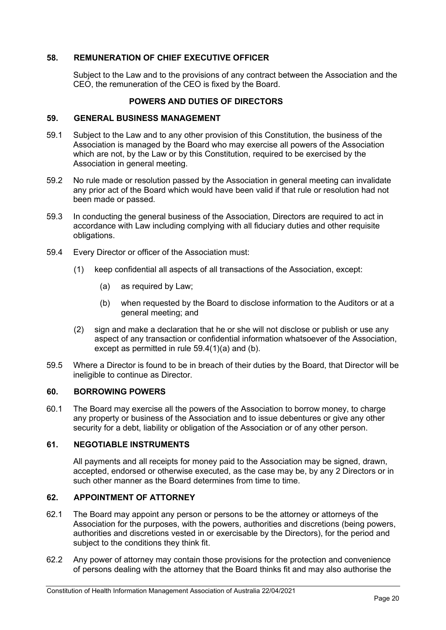## **58. REMUNERATION OF CHIEF EXECUTIVE OFFICER**

Subject to the Law and to the provisions of any contract between the Association and the CEO, the remuneration of the CEO is fixed by the Board.

## **POWERS AND DUTIES OF DIRECTORS**

#### **59. GENERAL BUSINESS MANAGEMENT**

- 59.1 Subject to the Law and to any other provision of this Constitution, the business of the Association is managed by the Board who may exercise all powers of the Association which are not, by the Law or by this Constitution, required to be exercised by the Association in general meeting.
- 59.2 No rule made or resolution passed by the Association in general meeting can invalidate any prior act of the Board which would have been valid if that rule or resolution had not been made or passed.
- 59.3 In conducting the general business of the Association, Directors are required to act in accordance with Law including complying with all fiduciary duties and other requisite obligations.
- <span id="page-19-2"></span><span id="page-19-1"></span><span id="page-19-0"></span>59.4 Every Director or officer of the Association must:
	- (1) keep confidential all aspects of all transactions of the Association, except:
		- (a) as required by Law;
		- (b) when requested by the Board to disclose information to the Auditors or at a general meeting; and
	- (2) sign and make a declaration that he or she will not disclose or publish or use any aspect of any transaction or confidential information whatsoever of the Association, except as permitted in rule [59.4](#page-19-0)[\(1\)](#page-19-1)[\(a\)](#page-19-2) and (b).
- 59.5 Where a Director is found to be in breach of their duties by the Board, that Director will be ineligible to continue as Director.

#### **60. BORROWING POWERS**

60.1 The Board may exercise all the powers of the Association to borrow money, to charge any property or business of the Association and to issue debentures or give any other security for a debt, liability or obligation of the Association or of any other person.

#### **61. NEGOTIABLE INSTRUMENTS**

All payments and all receipts for money paid to the Association may be signed, drawn, accepted, endorsed or otherwise executed, as the case may be, by any 2 Directors or in such other manner as the Board determines from time to time.

## **62. APPOINTMENT OF ATTORNEY**

- 62.1 The Board may appoint any person or persons to be the attorney or attorneys of the Association for the purposes, with the powers, authorities and discretions (being powers, authorities and discretions vested in or exercisable by the Directors), for the period and subject to the conditions they think fit.
- 62.2 Any power of attorney may contain those provisions for the protection and convenience of persons dealing with the attorney that the Board thinks fit and may also authorise the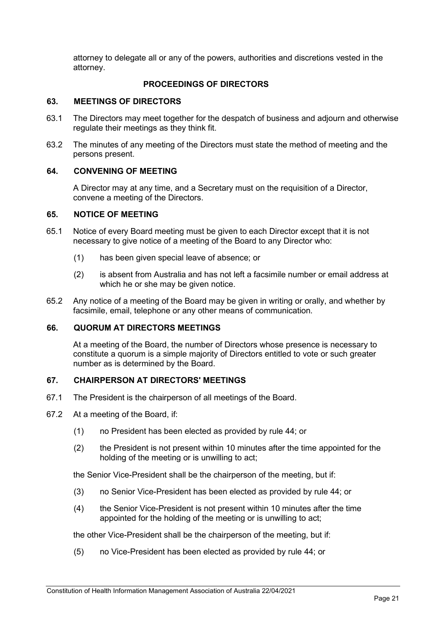attorney to delegate all or any of the powers, authorities and discretions vested in the attorney.

## **PROCEEDINGS OF DIRECTORS**

#### **63. MEETINGS OF DIRECTORS**

- 63.1 The Directors may meet together for the despatch of business and adjourn and otherwise regulate their meetings as they think fit.
- 63.2 The minutes of any meeting of the Directors must state the method of meeting and the persons present.

#### **64. CONVENING OF MEETING**

A Director may at any time, and a Secretary must on the requisition of a Director, convene a meeting of the Directors.

#### **65. NOTICE OF MEETING**

- 65.1 Notice of every Board meeting must be given to each Director except that it is not necessary to give notice of a meeting of the Board to any Director who:
	- (1) has been given special leave of absence; or
	- (2) is absent from Australia and has not left a facsimile number or email address at which he or she may be given notice.
- 65.2 Any notice of a meeting of the Board may be given in writing or orally, and whether by facsimile, email, telephone or any other means of communication.

#### <span id="page-20-0"></span>**66. QUORUM AT DIRECTORS MEETINGS**

At a meeting of the Board, the number of Directors whose presence is necessary to constitute a quorum is a simple majority of Directors entitled to vote or such greater number as is determined by the Board.

#### **67. CHAIRPERSON AT DIRECTORS' MEETINGS**

- 67.1 The President is the chairperson of all meetings of the Board.
- 67.2 At a meeting of the Board, if:
	- (1) no President has been elected as provided by rule [44;](#page-16-2) or
	- (2) the President is not present within 10 minutes after the time appointed for the holding of the meeting or is unwilling to act;

the Senior Vice-President shall be the chairperson of the meeting, but if:

- (3) no Senior Vice-President has been elected as provided by rule [44;](#page-16-2) or
- (4) the Senior Vice-President is not present within 10 minutes after the time appointed for the holding of the meeting or is unwilling to act;

the other Vice-President shall be the chairperson of the meeting, but if:

(5) no Vice-President has been elected as provided by rule [44;](#page-16-2) or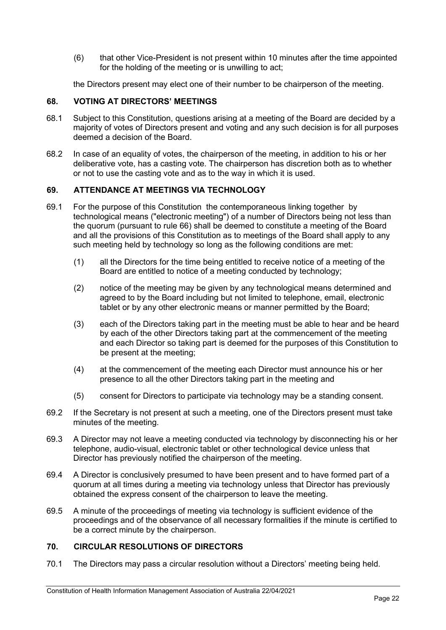(6) that other Vice-President is not present within 10 minutes after the time appointed for the holding of the meeting or is unwilling to act;

the Directors present may elect one of their number to be chairperson of the meeting.

#### **68. VOTING AT DIRECTORS' MEETINGS**

- 68.1 Subject to this Constitution, questions arising at a meeting of the Board are decided by a majority of votes of Directors present and voting and any such decision is for all purposes deemed a decision of the Board.
- 68.2 In case of an equality of votes, the chairperson of the meeting, in addition to his or her deliberative vote, has a casting vote. The chairperson has discretion both as to whether or not to use the casting vote and as to the way in which it is used.

## **69. ATTENDANCE AT MEETINGS VIA TECHNOLOGY**

- 69.1 For the purpose of this Constitution the contemporaneous linking together by technological means ("electronic meeting") of a number of Directors being not less than the quorum (pursuant to rule [66\)](#page-20-0) shall be deemed to constitute a meeting of the Board and all the provisions of this Constitution as to meetings of the Board shall apply to any such meeting held by technology so long as the following conditions are met:
	- (1) all the Directors for the time being entitled to receive notice of a meeting of the Board are entitled to notice of a meeting conducted by technology;
	- (2) notice of the meeting may be given by any technological means determined and agreed to by the Board including but not limited to telephone, email, electronic tablet or by any other electronic means or manner permitted by the Board;
	- (3) each of the Directors taking part in the meeting must be able to hear and be heard by each of the other Directors taking part at the commencement of the meeting and each Director so taking part is deemed for the purposes of this Constitution to be present at the meeting;
	- (4) at the commencement of the meeting each Director must announce his or her presence to all the other Directors taking part in the meeting and
	- (5) consent for Directors to participate via technology may be a standing consent.
- 69.2 If the Secretary is not present at such a meeting, one of the Directors present must take minutes of the meeting.
- 69.3 A Director may not leave a meeting conducted via technology by disconnecting his or her telephone, audio-visual, electronic tablet or other technological device unless that Director has previously notified the chairperson of the meeting.
- 69.4 A Director is conclusively presumed to have been present and to have formed part of a quorum at all times during a meeting via technology unless that Director has previously obtained the express consent of the chairperson to leave the meeting.
- 69.5 A minute of the proceedings of meeting via technology is sufficient evidence of the proceedings and of the observance of all necessary formalities if the minute is certified to be a correct minute by the chairperson.

## **70. CIRCULAR RESOLUTIONS OF DIRECTORS**

70.1 The Directors may pass a circular resolution without a Directors' meeting being held.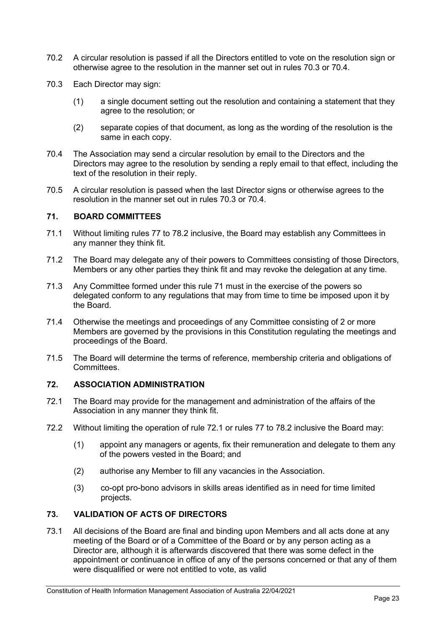- 70.2 A circular resolution is passed if all the Directors entitled to vote on the resolution sign or otherwise agree to the resolution in the manner set out in rules [70.3](#page-22-0) or [70.4.](#page-22-1)
- <span id="page-22-0"></span>70.3 Each Director may sign:
	- (1) a single document setting out the resolution and containing a statement that they agree to the resolution; or
	- (2) separate copies of that document, as long as the wording of the resolution is the same in each copy.
- <span id="page-22-1"></span>70.4 The Association may send a circular resolution by email to the Directors and the Directors may agree to the resolution by sending a reply email to that effect, including the text of the resolution in their reply.
- 70.5 A circular resolution is passed when the last Director signs or otherwise agrees to the resolution in the manner set out in rules [70.3](#page-22-0) or [70.4.](#page-22-1)

#### <span id="page-22-2"></span>**71. BOARD COMMITTEES**

- 71.1 Without limiting rules [77](#page-24-0) to [78.2](#page-24-1) inclusive, the Board may establish any Committees in any manner they think fit.
- 71.2 The Board may delegate any of their powers to Committees consisting of those Directors, Members or any other parties they think fit and may revoke the delegation at any time.
- 71.3 Any Committee formed under this rule [71](#page-22-2) must in the exercise of the powers so delegated conform to any regulations that may from time to time be imposed upon it by the Board.
- 71.4 Otherwise the meetings and proceedings of any Committee consisting of 2 or more Members are governed by the provisions in this Constitution regulating the meetings and proceedings of the Board.
- 71.5 The Board will determine the terms of reference, membership criteria and obligations of **Committees**

#### **72. ASSOCIATION ADMINISTRATION**

- <span id="page-22-3"></span>72.1 The Board may provide for the management and administration of the affairs of the Association in any manner they think fit.
- 72.2 Without limiting the operation of rule [72.1](#page-22-3) or rules [77](#page-24-0) to [78.2](#page-24-1) inclusive the Board may:
	- (1) appoint any managers or agents, fix their remuneration and delegate to them any of the powers vested in the Board; and
	- (2) authorise any Member to fill any vacancies in the Association.
	- (3) co-opt pro-bono advisors in skills areas identified as in need for time limited projects.

## **73. VALIDATION OF ACTS OF DIRECTORS**

73.1 All decisions of the Board are final and binding upon Members and all acts done at any meeting of the Board or of a Committee of the Board or by any person acting as a Director are, although it is afterwards discovered that there was some defect in the appointment or continuance in office of any of the persons concerned or that any of them were disqualified or were not entitled to vote, as valid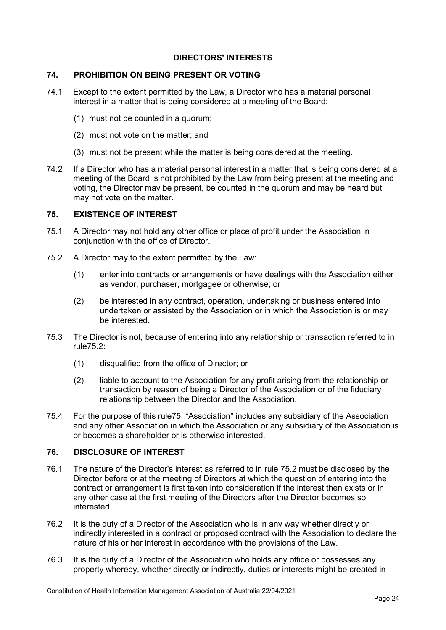## **DIRECTORS' INTERESTS**

#### **74. PROHIBITION ON BEING PRESENT OR VOTING**

- 74.1 Except to the extent permitted by the Law, a Director who has a material personal interest in a matter that is being considered at a meeting of the Board:
	- (1) must not be counted in a quorum;
	- (2) must not vote on the matter; and
	- (3) must not be present while the matter is being considered at the meeting.
- 74.2 If a Director who has a material personal interest in a matter that is being considered at a meeting of the Board is not prohibited by the Law from being present at the meeting and voting, the Director may be present, be counted in the quorum and may be heard but may not vote on the matter.

#### <span id="page-23-1"></span>**75. EXISTENCE OF INTEREST**

- 75.1 A Director may not hold any other office or place of profit under the Association in conjunction with the office of Director.
- <span id="page-23-0"></span>75.2 A Director may to the extent permitted by the Law:
	- (1) enter into contracts or arrangements or have dealings with the Association either as vendor, purchaser, mortgagee or otherwise; or
	- (2) be interested in any contract, operation, undertaking or business entered into undertaken or assisted by the Association or in which the Association is or may be interested.
- 75.3 The Director is not, because of entering into any relationship or transaction referred to in rul[e75.2:](#page-23-0)
	- (1) disqualified from the office of Director; or
	- (2) liable to account to the Association for any profit arising from the relationship or transaction by reason of being a Director of the Association or of the fiduciary relationship between the Director and the Association.
- 75.4 For the purpose of this rul[e75,](#page-23-1) "Association" includes any subsidiary of the Association and any other Association in which the Association or any subsidiary of the Association is or becomes a shareholder or is otherwise interested.

#### **76. DISCLOSURE OF INTEREST**

- 76.1 The nature of the Director's interest as referred to in rule [75.2](#page-23-0) must be disclosed by the Director before or at the meeting of Directors at which the question of entering into the contract or arrangement is first taken into consideration if the interest then exists or in any other case at the first meeting of the Directors after the Director becomes so interested.
- 76.2 It is the duty of a Director of the Association who is in any way whether directly or indirectly interested in a contract or proposed contract with the Association to declare the nature of his or her interest in accordance with the provisions of the Law.
- 76.3 It is the duty of a Director of the Association who holds any office or possesses any property whereby, whether directly or indirectly, duties or interests might be created in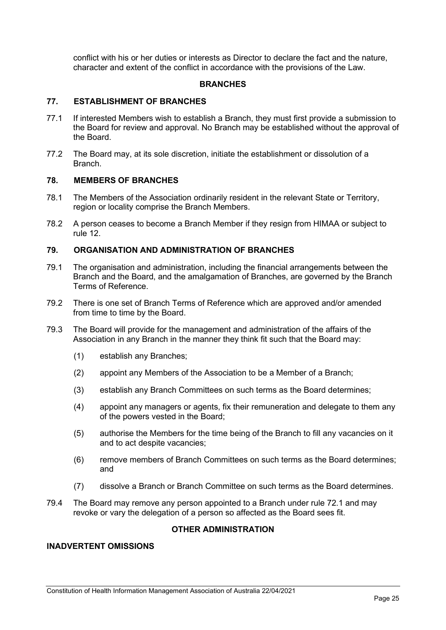conflict with his or her duties or interests as Director to declare the fact and the nature, character and extent of the conflict in accordance with the provisions of the Law.

#### **BRANCHES**

#### <span id="page-24-0"></span>**77. ESTABLISHMENT OF BRANCHES**

- 77.1 If interested Members wish to establish a Branch, they must first provide a submission to the Board for review and approval. No Branch may be established without the approval of the Board.
- 77.2 The Board may, at its sole discretion, initiate the establishment or dissolution of a Branch.

#### **78. MEMBERS OF BRANCHES**

- 78.1 The Members of the Association ordinarily resident in the relevant State or Territory, region or locality comprise the Branch Members.
- <span id="page-24-1"></span>78.2 A person ceases to become a Branch Member if they resign from HIMAA or subject to rule 12.

#### **79. ORGANISATION AND ADMINISTRATION OF BRANCHES**

- 79.1 The organisation and administration, including the financial arrangements between the Branch and the Board, and the amalgamation of Branches, are governed by the Branch Terms of Reference.
- 79.2 There is one set of Branch Terms of Reference which are approved and/or amended from time to time by the Board.
- 79.3 The Board will provide for the management and administration of the affairs of the Association in any Branch in the manner they think fit such that the Board may:
	- (1) establish any Branches;
	- (2) appoint any Members of the Association to be a Member of a Branch;
	- (3) establish any Branch Committees on such terms as the Board determines;
	- (4) appoint any managers or agents, fix their remuneration and delegate to them any of the powers vested in the Board;
	- (5) authorise the Members for the time being of the Branch to fill any vacancies on it and to act despite vacancies;
	- (6) remove members of Branch Committees on such terms as the Board determines; and
	- (7) dissolve a Branch or Branch Committee on such terms as the Board determines.
- 79.4 The Board may remove any person appointed to a Branch under rule [72.1](#page-22-3) and may revoke or vary the delegation of a person so affected as the Board sees fit.

#### **OTHER ADMINISTRATION**

## **INADVERTENT OMISSIONS**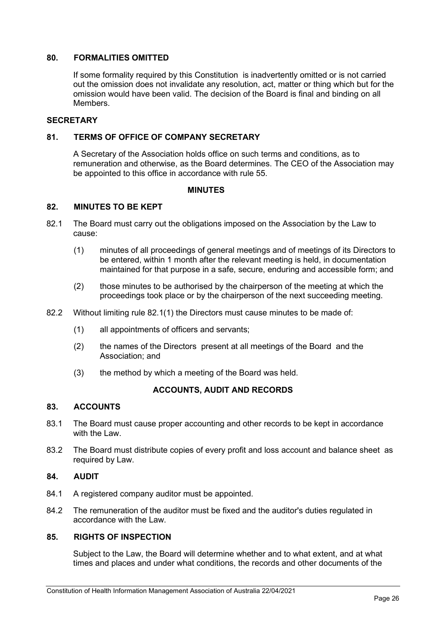#### **80. FORMALITIES OMITTED**

If some formality required by this Constitution is inadvertently omitted or is not carried out the omission does not invalidate any resolution, act, matter or thing which but for the omission would have been valid. The decision of the Board is final and binding on all Members.

#### **SECRETARY**

#### **81. TERMS OF OFFICE OF COMPANY SECRETARY**

A Secretary of the Association holds office on such terms and conditions, as to remuneration and otherwise, as the Board determines. The CEO of the Association may be appointed to this office in accordance with rule [55.](#page-18-1)

#### **MINUTES**

## **82. MINUTES TO BE KEPT**

- <span id="page-25-1"></span><span id="page-25-0"></span>82.1 The Board must carry out the obligations imposed on the Association by the Law to cause:
	- (1) minutes of all proceedings of general meetings and of meetings of its Directors to be entered, within 1 month after the relevant meeting is held, in documentation maintained for that purpose in a safe, secure, enduring and accessible form; and
	- (2) those minutes to be authorised by the chairperson of the meeting at which the proceedings took place or by the chairperson of the next succeeding meeting.
- 82.2 Without limiting rule [82.1](#page-25-0)[\(1\)](#page-25-1) the Directors must cause minutes to be made of:
	- (1) all appointments of officers and servants;
	- (2) the names of the Directors present at all meetings of the Board and the Association; and
	- (3) the method by which a meeting of the Board was held.

#### **ACCOUNTS, AUDIT AND RECORDS**

#### **83. ACCOUNTS**

- 83.1 The Board must cause proper accounting and other records to be kept in accordance with the Law
- 83.2 The Board must distribute copies of every profit and loss account and balance sheet as required by Law.

#### **84. AUDIT**

- 84.1 A registered company auditor must be appointed.
- 84.2 The remuneration of the auditor must be fixed and the auditor's duties regulated in accordance with the Law.

#### **85. RIGHTS OF INSPECTION**

Subject to the Law, the Board will determine whether and to what extent, and at what times and places and under what conditions, the records and other documents of the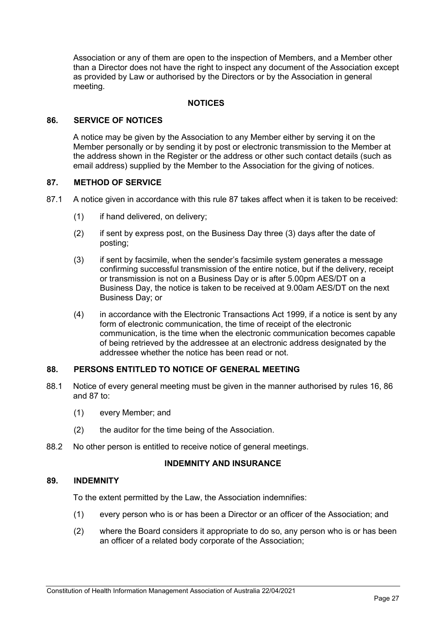Association or any of them are open to the inspection of Members, and a Member other than a Director does not have the right to inspect any document of the Association except as provided by Law or authorised by the Directors or by the Association in general meeting.

#### **NOTICES**

#### <span id="page-26-0"></span>**86. SERVICE OF NOTICES**

A notice may be given by the Association to any Member either by serving it on the Member personally or by sending it by post or electronic transmission to the Member at the address shown in the Register or the address or other such contact details (such as email address) supplied by the Member to the Association for the giving of notices.

#### <span id="page-26-1"></span>**87. METHOD OF SERVICE**

- 87.1 A notice given in accordance with this rule [87](#page-26-1) takes affect when it is taken to be received:
	- (1) if hand delivered, on delivery;
	- (2) if sent by express post, on the Business Day three (3) days after the date of posting;
	- (3) if sent by facsimile, when the sender's facsimile system generates a message confirming successful transmission of the entire notice, but if the delivery, receipt or transmission is not on a Business Day or is after 5.00pm AES/DT on a Business Day, the notice is taken to be received at 9.00am AES/DT on the next Business Day; or
	- (4) in accordance with the Electronic Transactions Act 1999, if a notice is sent by any form of electronic communication, the time of receipt of the [electronic](http://www.austlii.edu.au/au/legis/cth/consol_act/eta1999256/s5.html#electronic_communication)  [communication,](http://www.austlii.edu.au/au/legis/cth/consol_act/eta1999256/s5.html#electronic_communication) is the time when the [electronic communication](http://www.austlii.edu.au/au/legis/cth/consol_act/eta1999256/s5.html#electronic_communication) becomes capable of being retrieved by the [addressee](http://www.austlii.edu.au/au/legis/cth/consol_act/eta1999256/s5.html#addressee) at an electronic address designated by the [addressee](http://www.austlii.edu.au/au/legis/cth/consol_act/eta1999256/s5.html#addressee) whether the notice has been read or not.

#### **88. PERSONS ENTITLED TO NOTICE OF GENERAL MEETING**

- 88.1 Notice of every general meeting must be given in the manner authorised by rules [16,](#page-9-0) [86](#page-26-0) and [87](#page-26-1) to:
	- (1) every Member; and
	- (2) the auditor for the time being of the Association.
- 88.2 No other person is entitled to receive notice of general meetings.

#### **INDEMNITY AND INSURANCE**

#### <span id="page-26-2"></span>**89. INDEMNITY**

To the extent permitted by the Law, the Association indemnifies:

- (1) every person who is or has been a Director or an officer of the Association; and
- (2) where the Board considers it appropriate to do so, any person who is or has been an officer of a related body corporate of the Association;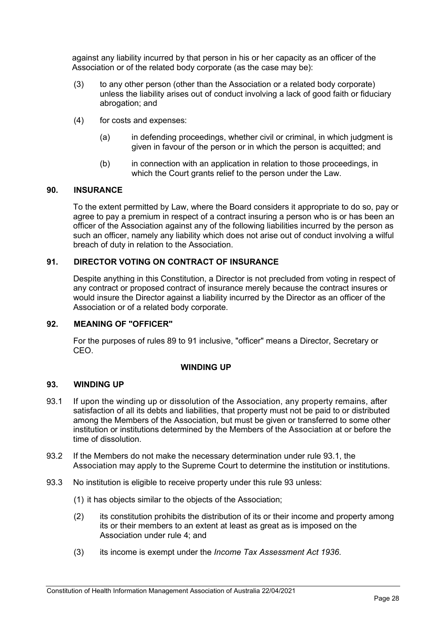against any liability incurred by that person in his or her capacity as an officer of the Association or of the related body corporate (as the case may be):

- (3) to any other person (other than the Association or a related body corporate) unless the liability arises out of conduct involving a lack of good faith or fiduciary abrogation; and
- (4) for costs and expenses:
	- (a) in defending proceedings, whether civil or criminal, in which judgment is given in favour of the person or in which the person is acquitted; and
	- (b) in connection with an application in relation to those proceedings, in which the Court grants relief to the person under the Law.

#### **90. INSURANCE**

To the extent permitted by Law, where the Board considers it appropriate to do so, pay or agree to pay a premium in respect of a contract insuring a person who is or has been an officer of the Association against any of the following liabilities incurred by the person as such an officer, namely any liability which does not arise out of conduct involving a wilful breach of duty in relation to the Association.

## <span id="page-27-0"></span>**91. DIRECTOR VOTING ON CONTRACT OF INSURANCE**

Despite anything in this Constitution, a Director is not precluded from voting in respect of any contract or proposed contract of insurance merely because the contract insures or would insure the Director against a liability incurred by the Director as an officer of the Association or of a related body corporate.

#### **92. MEANING OF "OFFICER"**

For the purposes of rules [89](#page-26-2) to [91](#page-27-0) inclusive, "officer" means a Director, Secretary or CEO.

#### **WINDING UP**

#### **93. WINDING UP**

- <span id="page-27-1"></span>93.1 If upon the winding up or dissolution of the Association, any property remains, after satisfaction of all its debts and liabilities, that property must not be paid to or distributed among the Members of the Association, but must be given or transferred to some other institution or institutions determined by the Members of the Association at or before the time of dissolution.
- 93.2 If the Members do not make the necessary determination under rule [93.1,](#page-27-1) the Association may apply to the Supreme Court to determine the institution or institutions.
- 93.3 No institution is eligible to receive property under this rule 93 unless:
	- (1) it has objects similar to the objects of the Association;
	- (2) its constitution prohibits the distribution of its or their income and property among its or their members to an extent at least as great as is imposed on the Association under rule [4;](#page-3-6) and
	- (3) its income is exempt under the *Income Tax Assessment Act 1936*.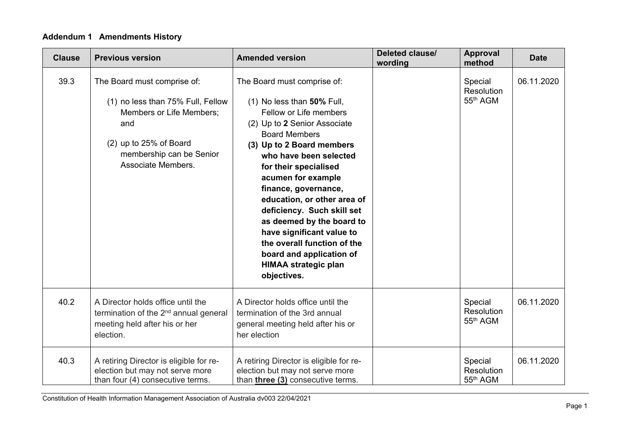# **Addendum 1 Amendments History**

| <b>Clause</b> | <b>Previous version</b>                                                                                                                                                                | <b>Amended version</b>                                                                                                                                                                                                                                                                                                                                                                                                                                                                                    | Deleted clause/<br>wording | <b>Approval</b><br>method                     | <b>Date</b> |
|---------------|----------------------------------------------------------------------------------------------------------------------------------------------------------------------------------------|-----------------------------------------------------------------------------------------------------------------------------------------------------------------------------------------------------------------------------------------------------------------------------------------------------------------------------------------------------------------------------------------------------------------------------------------------------------------------------------------------------------|----------------------------|-----------------------------------------------|-------------|
| 39.3          | The Board must comprise of:<br>(1) no less than 75% Full, Fellow<br><b>Members or Life Members:</b><br>and<br>(2) up to 25% of Board<br>membership can be Senior<br>Associate Members. | The Board must comprise of:<br>(1) No less than 50% Full,<br>Fellow or Life members<br>(2) Up to 2 Senior Associate<br><b>Board Members</b><br>(3) Up to 2 Board members<br>who have been selected<br>for their specialised<br>acumen for example<br>finance, governance,<br>education, or other area of<br>deficiency. Such skill set<br>as deemed by the board to<br>have significant value to<br>the overall function of the<br>board and application of<br><b>HIMAA strategic plan</b><br>objectives. |                            | Special<br>Resolution<br>55 <sup>th</sup> AGM | 06.11.2020  |
| 40.2          | A Director holds office until the<br>termination of the 2 <sup>nd</sup> annual general<br>meeting held after his or her<br>election.                                                   | A Director holds office until the<br>termination of the 3rd annual<br>general meeting held after his or<br>her election                                                                                                                                                                                                                                                                                                                                                                                   |                            | Special<br>Resolution<br>55 <sup>th</sup> AGM | 06.11.2020  |
| 40.3          | A retiring Director is eligible for re-<br>election but may not serve more<br>than four (4) consecutive terms.                                                                         | A retiring Director is eligible for re-<br>election but may not serve more<br>than three (3) consecutive terms.                                                                                                                                                                                                                                                                                                                                                                                           |                            | Special<br><b>Resolution</b><br>55th AGM      | 06.11.2020  |

Constitution of Health Information Management Association of Australia dv003 22/04/2021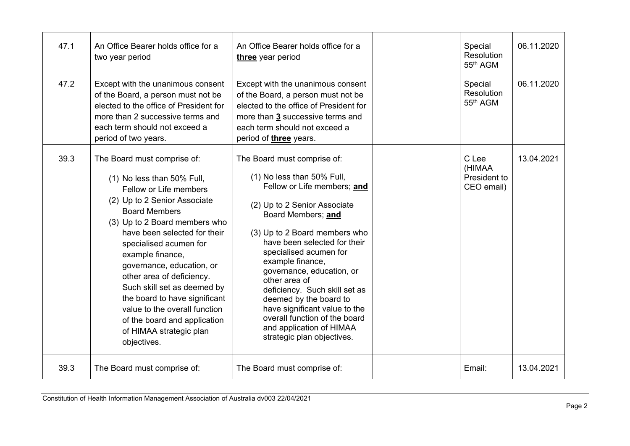| 47.1 | An Office Bearer holds office for a<br>two year period                                                                                                                                                                                                                                                                                                                                                                                                                                          | An Office Bearer holds office for a<br>three year period                                                                                                                                                                                                                                                                                                                                                                                                                                           | Special<br>Resolution<br>55 <sup>th</sup> AGM | 06.11.2020 |
|------|-------------------------------------------------------------------------------------------------------------------------------------------------------------------------------------------------------------------------------------------------------------------------------------------------------------------------------------------------------------------------------------------------------------------------------------------------------------------------------------------------|----------------------------------------------------------------------------------------------------------------------------------------------------------------------------------------------------------------------------------------------------------------------------------------------------------------------------------------------------------------------------------------------------------------------------------------------------------------------------------------------------|-----------------------------------------------|------------|
| 47.2 | Except with the unanimous consent<br>of the Board, a person must not be<br>elected to the office of President for<br>more than 2 successive terms and<br>each term should not exceed a<br>period of two years.                                                                                                                                                                                                                                                                                  | Except with the unanimous consent<br>of the Board, a person must not be<br>elected to the office of President for<br>more than 3 successive terms and<br>each term should not exceed a<br>period of <i>three</i> years.                                                                                                                                                                                                                                                                            | Special<br>Resolution<br>55th AGM             | 06.11.2020 |
| 39.3 | The Board must comprise of:<br>(1) No less than 50% Full,<br>Fellow or Life members<br>(2) Up to 2 Senior Associate<br><b>Board Members</b><br>(3) Up to 2 Board members who<br>have been selected for their<br>specialised acumen for<br>example finance,<br>governance, education, or<br>other area of deficiency.<br>Such skill set as deemed by<br>the board to have significant<br>value to the overall function<br>of the board and application<br>of HIMAA strategic plan<br>objectives. | The Board must comprise of:<br>(1) No less than 50% Full,<br>Fellow or Life members; and<br>(2) Up to 2 Senior Associate<br>Board Members; and<br>(3) Up to 2 Board members who<br>have been selected for their<br>specialised acumen for<br>example finance,<br>governance, education, or<br>other area of<br>deficiency. Such skill set as<br>deemed by the board to<br>have significant value to the<br>overall function of the board<br>and application of HIMAA<br>strategic plan objectives. | C Lee<br>(HIMAA<br>President to<br>CEO email) | 13.04.2021 |
| 39.3 | The Board must comprise of:                                                                                                                                                                                                                                                                                                                                                                                                                                                                     | The Board must comprise of:                                                                                                                                                                                                                                                                                                                                                                                                                                                                        | Email:                                        | 13.04.2021 |